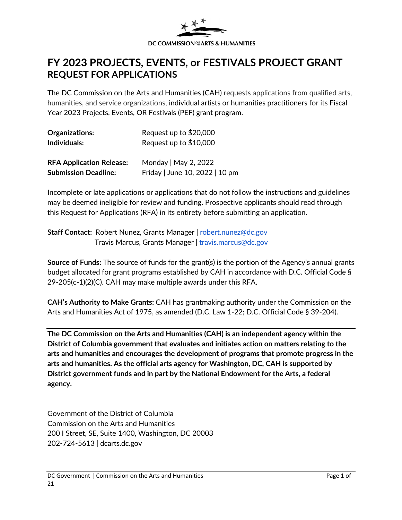

# **FY 2023 PROJECTS, EVENTS, or FESTIVALS PROJECT GRANT REQUEST FOR APPLICATIONS**

The DC Commission on the Arts and Humanities (CAH) requests applications from qualified arts, humanities, and service organizations, individual artists or humanities practitioners for its Fiscal Year 2023 Projects, Events, OR Festivals (PEF) grant program.

| Organizations:                  | Request up to \$20,000         |
|---------------------------------|--------------------------------|
| Individuals:                    | Request up to \$10,000         |
| <b>RFA Application Release:</b> | Monday   May 2, 2022           |
| <b>Submission Deadline:</b>     | Friday   June 10, 2022   10 pm |

Incomplete or late applications or applications that do not follow the instructions and guidelines may be deemed ineligible for review and funding. Prospective applicants should read through this Request for Applications (RFA) in its entirety before submitting an application.

**Staff Contact: Robert Nunez, Grants Manager | [robert.nunez@dc.gov](mailto:robert.nunez@dc.gov)** Travis Marcus, Grants Manager | [travis.marcus@dc.gov](mailto:travis.marcus@dc.gov)

**Source of Funds:** The source of funds for the grant(s) is the portion of the Agency's annual grants budget allocated for grant programs established by CAH in accordance with D.C. Official Code § 29-205(c-1)(2)(C). CAH may make multiple awards under this RFA.

**CAH's Authority to Make Grants:** CAH has grantmaking authority under the Commission on the Arts and Humanities Act of 1975, as amended (D.C. Law 1-22; D.C. Official Code § 39-204).

**The DC Commission on the Arts and Humanities (CAH) is an independent agency within the District of Columbia government that evaluates and initiates action on matters relating to the arts and humanities and encourages the development of programs that promote progress in the arts and humanities. As the official arts agency for Washington, DC, CAH is supported by District government funds and in part by the National Endowment for the Arts, a federal agency.** 

Government of the District of Columbia Commission on the Arts and Humanities 200 I Street, SE, Suite 1400, Washington, DC 20003 202-724-5613 | dcarts.dc.gov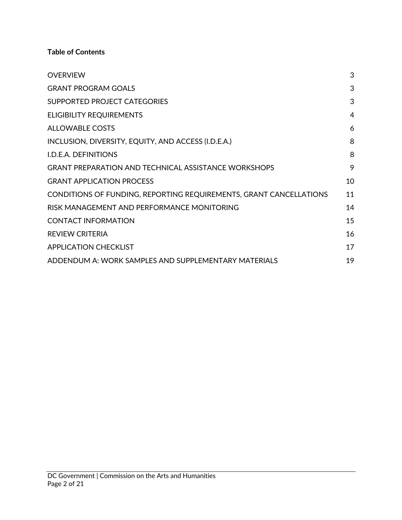**Table of Contents**

| <b>OVERVIEW</b>                                                    | 3  |
|--------------------------------------------------------------------|----|
| <b>GRANT PROGRAM GOALS</b>                                         | 3  |
| SUPPORTED PROJECT CATEGORIES                                       | 3  |
| <b>ELIGIBILITY REQUIREMENTS</b>                                    | 4  |
| <b>ALLOWABLE COSTS</b>                                             | 6  |
| INCLUSION, DIVERSITY, EQUITY, AND ACCESS (I.D.E.A.)                | 8  |
| I.D.E.A. DEFINITIONS                                               | 8  |
| <b>GRANT PREPARATION AND TECHNICAL ASSISTANCE WORKSHOPS</b>        | 9  |
| <b>GRANT APPLICATION PROCESS</b>                                   | 10 |
| CONDITIONS OF FUNDING, REPORTING REQUIREMENTS, GRANT CANCELLATIONS | 11 |
| RISK MANAGEMENT AND PERFORMANCE MONITORING                         | 14 |
| <b>CONTACT INFORMATION</b>                                         | 15 |
| <b>REVIEW CRITERIA</b>                                             | 16 |
| <b>APPLICATION CHECKLIST</b>                                       | 17 |
| ADDENDUM A: WORK SAMPLES AND SUPPLEMENTARY MATERIALS               | 19 |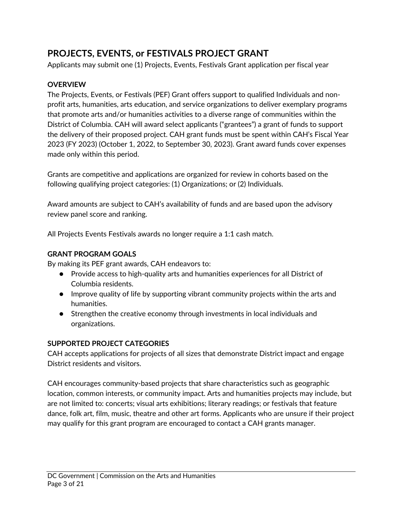# **[PROJECTS, EVENTS, or FESTIVALS PROJE](#page-18-0)CT GRANT**

Applicants may submit one (1) Projects, Events, Festivals Grant application per fiscal year

### <span id="page-2-0"></span>**OVERVIEW**

The Projects, Events, or Festivals (PEF) Grant offers support to qualified Individuals and nonprofit arts, humanities, arts education, and service organizations to deliver exemplary programs that promote arts and/or humanities activities to a diverse range of communities within the District of Columbia. CAH will award select applicants ("grantees") a grant of funds to support the delivery of their proposed project. CAH grant funds must be spent within CAH's Fiscal Year 2023 (FY 2023) (October 1, 2022, to September 30, 2023). Grant award funds cover expenses made only within this period.

Grants are competitive and applications are organized for review in cohorts based on the following qualifying project categories: (1) Organizations; or (2) Individuals.

Award amounts are subject to CAH's availability of funds and are based upon the advisory review panel score and ranking.

All Projects Events Festivals awards no longer require a 1:1 cash match.

#### **GRANT PROGRAM GOALS**

By making its PEF grant awards, CAH endeavors to:

- <span id="page-2-1"></span>● Provide access to high-quality arts and humanities experiences for all District of Columbia residents.
- Improve quality of life by supporting vibrant community projects within the arts and humanities.
- <span id="page-2-2"></span>● Strengthen the creative economy through investments in local individuals and organizations.

#### **SUPPORTED PROJECT CATEGORIES**

CAH accepts applications for projects of all sizes that demonstrate District impact and engage District residents and visitors.

CAH encourages community-based projects that share characteristics such as geographic location, common interests, or community impact. Arts and humanities projects may include, but are not limited to: concerts; visual arts exhibitions; literary readings; or festivals that feature dance, folk art, film, music, theatre and other art forms. Applicants who are unsure if their project may qualify for this grant program are encouraged to contact a CAH grants manager.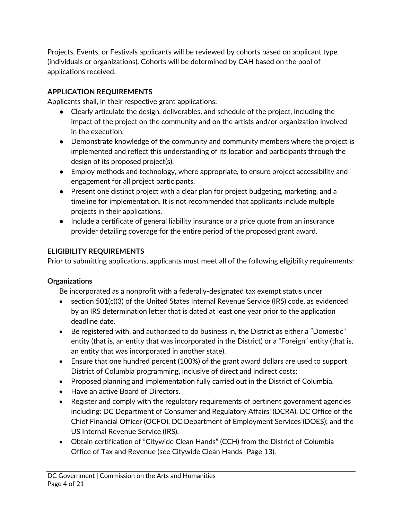Projects, Events, or Festivals applicants will be reviewed by cohorts based on applicant type (individuals or organizations). Cohorts will be determined by CAH based on the pool of applications received.

### **APPLICATION REQUIREMENTS**

Applicants shall, in their respective grant applications:

- Clearly articulate the design, deliverables, and schedule of the project, including the impact of the project on the community and on the artists and/or organization involved in the execution.
- Demonstrate knowledge of the community and community members where the project is implemented and reflect this understanding of its location and participants through the design of its proposed project(s).
- Employ methods and technology, where appropriate, to ensure project accessibility and engagement for all project participants.
- Present one distinct project with a clear plan for project budgeting, marketing, and a timeline for implementation. It is not recommended that applicants include multiple projects in their applications.
- <span id="page-3-0"></span>● Include a certificate of general liability insurance or a price quote from an insurance provider detailing coverage for the entire period of the proposed grant award.

## **ELIGIBILITY REQUIREMENTS**

Prior to submitting applications, applicants must meet all of the following eligibility requirements:

#### **Organizations**

Be incorporated as a nonprofit with a federally-designated tax exempt status under

- section 501(c)(3) of the United States Internal Revenue Service (IRS) code, as evidenced by an IRS determination letter that is dated at least one year prior to the application deadline date.
- Be registered with, and authorized to do business in, the District as either a "Domestic" entity (that is, an entity that was incorporated in the District) or a "Foreign" entity (that is, an entity that was incorporated in another state).
- Ensure that one hundred percent (100%) of the grant award dollars are used to support District of Columbia programming, inclusive of direct and indirect costs;
- Proposed planning and implementation fully carried out in the District of Columbia.
- Have an active Board of Directors.
- Register and comply with the regulatory requirements of pertinent government agencies including: DC Department of Consumer and Regulatory Affairs' (DCRA), DC Office of the Chief Financial Officer (OCFO), DC Department of Employment Services (DOES); and the US Internal Revenue Service (IRS).
- Obtain certification of "Citywide Clean Hands" (CCH) from the District of Columbia Office of Tax and Revenue (see Citywide Clean Hands- Page 13).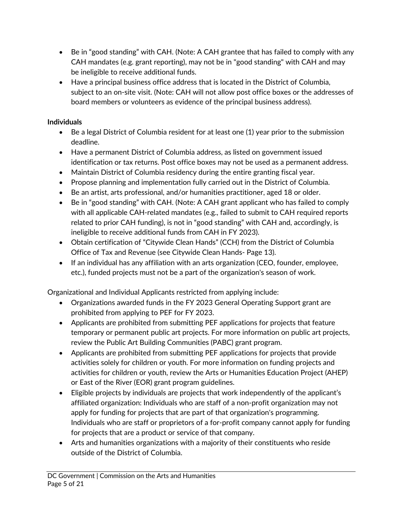- Be in "good standing" with CAH. (Note: A CAH grantee that has failed to comply with any CAH mandates (e.g. grant reporting), may not be in "good standing" with CAH and may be ineligible to receive additional funds.
- Have a principal business office address that is located in the District of Columbia, subject to an on-site visit. (Note: CAH will not allow post office boxes or the addresses of board members or volunteers as evidence of the principal business address).

### **Individuals**

- Be a legal District of Columbia resident for at least one (1) year prior to the submission deadline.
- Have a permanent District of Columbia address, as listed on government issued identification or tax returns. Post office boxes may not be used as a permanent address.
- Maintain District of Columbia residency during the entire granting fiscal year.
- Propose planning and implementation fully carried out in the District of Columbia.
- Be an artist, arts professional, and/or humanities practitioner, aged 18 or older.
- Be in "good standing" with CAH. (Note: A CAH grant applicant who has failed to comply with all applicable CAH-related mandates (e.g., failed to submit to CAH required reports related to prior CAH funding), is not in "good standing" with CAH and, accordingly, is ineligible to receive additional funds from CAH in FY 2023).
- Obtain certification of "Citywide Clean Hands" (CCH) from the District of Columbia Office of Tax and Revenue (see Citywide Clean Hands- Page 13).
- If an individual has any affiliation with an arts organization (CEO, founder, employee, etc.), funded projects must not be a part of the organization's season of work.

Organizational and Individual Applicants restricted from applying include:

- Organizations awarded funds in the FY 2023 General Operating Support grant are prohibited from applying to PEF for FY 2023.
- Applicants are prohibited from submitting PEF applications for projects that feature temporary or permanent public art projects. For more information on public art projects, review the Public Art Building Communities (PABC) grant program.
- Applicants are prohibited from submitting PEF applications for projects that provide activities solely for children or youth. For more information on funding projects and activities for children or youth, review the Arts or Humanities Education Project (AHEP) or East of the River (EOR) grant program guidelines.
- Eligible projects by individuals are projects that work independently of the applicant's affiliated organization: Individuals who are staff of a non-profit organization may not apply for funding for projects that are part of that organization's programming. Individuals who are staff or proprietors of a for-profit company cannot apply for funding for projects that are a product or service of that company.
- Arts and humanities organizations with a majority of their constituents who reside outside of the District of Columbia.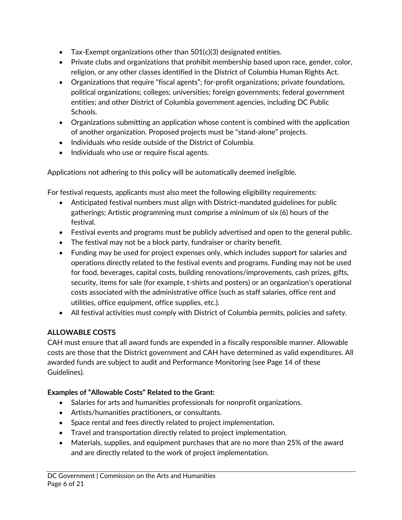- Tax-Exempt organizations other than 501(c)(3) designated entities.
- Private clubs and organizations that prohibit membership based upon race, gender, color, religion, or any other classes identified in the District of Columbia Human Rights Act.
- Organizations that require "fiscal agents"; for-profit organizations; private foundations, political organizations; colleges; universities; foreign governments; federal government entities; and other District of Columbia government agencies, including DC Public Schools.
- Organizations submitting an application whose content is combined with the application of another organization. Proposed projects must be "stand-alone" projects.
- Individuals who reside outside of the District of Columbia.
- Individuals who use or require fiscal agents.

Applications not adhering to this policy will be automatically deemed ineligible.

For festival requests, applicants must also meet the following eligibility requirements:

- Anticipated festival numbers must align with District-mandated guidelines for public gatherings; Artistic programming must comprise a minimum of six (6) hours of the festival.
- Festival events and programs must be publicly advertised and open to the general public.
- The festival may not be a block party, fundraiser or charity benefit.
- Funding may be used for project expenses only, which includes support for salaries and operations directly related to the festival events and programs. Funding may not be used for food, beverages, capital costs, building renovations/improvements, cash prizes, gifts, security, items for sale (for example, t-shirts and posters) or an organization's operational costs associated with the administrative office (such as staff salaries, office rent and utilities, office equipment, office supplies, etc.).
- <span id="page-5-0"></span>• All festival activities must comply with District of Columbia permits, policies and safety.

# **ALLOWABLE COSTS**

CAH must ensure that all award funds are expended in a fiscally responsible manner. Allowable costs are those that the District government and CAH have determined as valid expenditures. All awarded funds are subject to audit and Performance Monitoring (see Page 14 of these Guidelines).

#### **Examples of "Allowable Costs" Related to the Grant:**

- Salaries for arts and humanities professionals for nonprofit organizations.
- Artists/humanities practitioners, or consultants.
- Space rental and fees directly related to project implementation.
- Travel and transportation directly related to project implementation.
- Materials, supplies, and equipment purchases that are no more than 25% of the award and are directly related to the work of project implementation.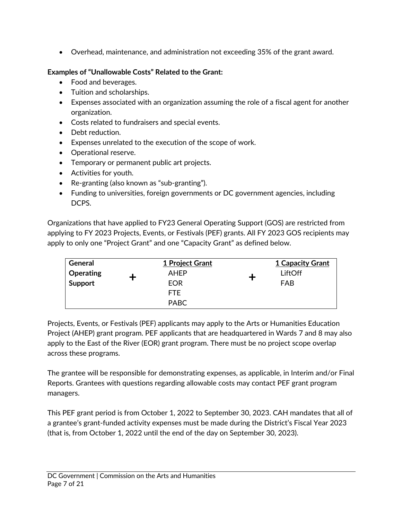• Overhead, maintenance, and administration not exceeding 35% of the grant award.

## **Examples of "Unallowable Costs" Related to the Grant:**

- Food and beverages.
- Tuition and scholarships.
- Expenses associated with an organization assuming the role of a fiscal agent for another organization.
- Costs related to fundraisers and special events.
- Debt reduction.
- Expenses unrelated to the execution of the scope of work.
- Operational reserve.
- Temporary or permanent public art projects.
- Activities for youth.
- Re-granting (also known as "sub-granting").
- Funding to universities, foreign governments or DC government agencies, including DCPS.

Organizations that have applied to FY23 General Operating Support (GOS) are restricted from applying to FY 2023 Projects, Events, or Festivals (PEF) grants. All FY 2023 GOS recipients may apply to only one "Project Grant" and one "Capacity Grant" as defined below.

| General   | 1 Project Grant | <b>1 Capacity Grant</b> |
|-----------|-----------------|-------------------------|
| Operating | <b>AHEP</b>     | LiftOff                 |
| Support   | EOR             | FAB                     |
|           | FTE.            |                         |
|           | PABC            |                         |

Projects, Events, or Festivals (PEF) applicants may apply to the Arts or Humanities Education Project (AHEP) grant program. PEF applicants that are headquartered in Wards 7 and 8 may also apply to the East of the River (EOR) grant program. There must be no project scope overlap across these programs.

The grantee will be responsible for demonstrating expenses, as applicable, in Interim and/or Final Reports. Grantees with questions regarding allowable costs may contact PEF grant program managers.

This PEF grant period is from October 1, 2022 to September 30, 2023. CAH mandates that all of a grantee's grant-funded activity expenses must be made during the District's Fiscal Year 2023 (that is, from October 1, 2022 until the end of the day on September 30, 2023).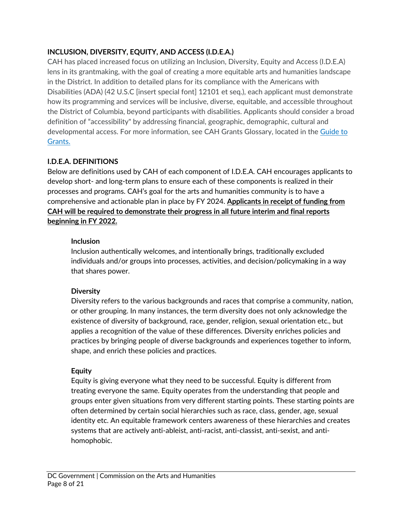## <span id="page-7-0"></span>**INCLUSION, DIVERSITY, EQUITY, AND ACCESS (I.D.E.A.)**

CAH has placed increased focus on utilizing an Inclusion, Diversity, Equity and Access (I.D.E.A) lens in its grantmaking, with the goal of creating a more equitable arts and humanities landscape in the District. In addition to detailed plans for its compliance with the Americans with Disabilities (ADA) (42 U.S.C [insert special font] 12101 et seq.), each applicant must demonstrate how its programming and services will be inclusive, diverse, equitable, and accessible throughout the District of Columbia, beyond participants with disabilities. Applicants should consider a broad definition of "accessibility" by addressing financial, geographic, demographic, cultural and developmental access. For more information, see CAH Grants Glossary, located in the [Guide to](https://dcarts.dc.gov/node/1579326) [Grants.](https://dcarts.dc.gov/node/1579326)

# <span id="page-7-1"></span>**I.D.E.A. DEFINITIONS**

Below are definitions used by CAH of each component of I.D.E.A. CAH encourages applicants to develop short- and long-term plans to ensure each of these components is realized in their processes and programs. CAH's goal for the arts and humanities community is to have a comprehensive and actionable plan in place by FY 2024. **Applicants in receipt of funding from CAH will be required to demonstrate their progress in all future interim and final reports beginning in FY 2022.** 

## **Inclusion**

Inclusion authentically welcomes, and intentionally brings, traditionally excluded individuals and/or groups into processes, activities, and decision/policymaking in a way that shares power.

# **Diversity**

Diversity refers to the various backgrounds and races that comprise a community, nation, or other grouping. In many instances, the term diversity does not only acknowledge the existence of diversity of background, race, gender, religion, sexual orientation etc., but applies a recognition of the value of these differences. Diversity enriches policies and practices by bringing people of diverse backgrounds and experiences together to inform, shape, and enrich these policies and practices.

#### **Equity**

Equity is giving everyone what they need to be successful. Equity is different from treating everyone the same. Equity operates from the understanding that people and groups enter given situations from very different starting points. These starting points are often determined by certain social hierarchies such as race, class, gender, age, sexual identity etc. An equitable framework centers awareness of these hierarchies and creates systems that are actively anti-ableist, anti-racist, anti-classist, anti-sexist, and antihomophobic.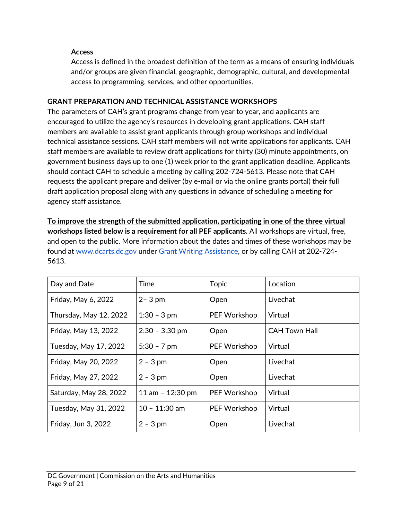#### **Access**

<span id="page-8-0"></span>Access is defined in the broadest definition of the term as a means of ensuring individuals and/or groups are given financial, geographic, demographic, cultural, and developmental access to programming, services, and other opportunities.

#### **GRANT PREPARATION AND TECHNICAL ASSISTANCE WORKSHOPS**

The parameters of CAH's grant programs change from year to year, and applicants are encouraged to utilize the agency's resources in developing grant applications. CAH staff members are available to assist grant applicants through group workshops and individual technical assistance sessions. CAH staff members will not write applications for applicants. CAH staff members are available to review draft applications for thirty (30) minute appointments, on government business days up to one (1) week prior to the grant application deadline. Applicants should contact CAH to schedule a meeting by calling 202-724-5613. Please note that CAH requests the applicant prepare and deliver (by e-mail or via the online grants portal) their full draft application proposal along with any questions in advance of scheduling a meeting for agency staff assistance.

**To improve the strength of the submitted application, participating in one of the three virtual workshops listed below is a requirement for all PEF applicants.** All workshops are virtual, free, and open to the public. More information about the dates and times of these workshops may be found at [www.dcarts.dc.gov](http://www.dcarts.dc.gov/) under [Grant Writing Assistance](http://dcarts.dc.gov/node/408112), or by calling CAH at 202-724- 5613.

| Day and Date           | Time               | <b>Topic</b> | Location             |
|------------------------|--------------------|--------------|----------------------|
| Friday, May 6, 2022    | $2 - 3$ pm         | Open         | Livechat             |
| Thursday, May 12, 2022 | $1:30 - 3$ pm      | PEF Workshop | Virtual              |
| Friday, May 13, 2022   | $2:30 - 3:30$ pm   | Open         | <b>CAH Town Hall</b> |
| Tuesday, May 17, 2022  | $5:30 - 7$ pm      | PEF Workshop | Virtual              |
| Friday, May 20, 2022   | $2 - 3$ pm         | Open         | Livechat             |
| Friday, May 27, 2022   | $2 - 3$ pm         | Open         | Livechat             |
| Saturday, May 28, 2022 | 11 am $-$ 12:30 pm | PEF Workshop | Virtual              |
| Tuesday, May 31, 2022  | $10 - 11:30$ am    | PEF Workshop | Virtual              |
| Friday, Jun 3, 2022    | $2 - 3$ pm         | Open         | Livechat             |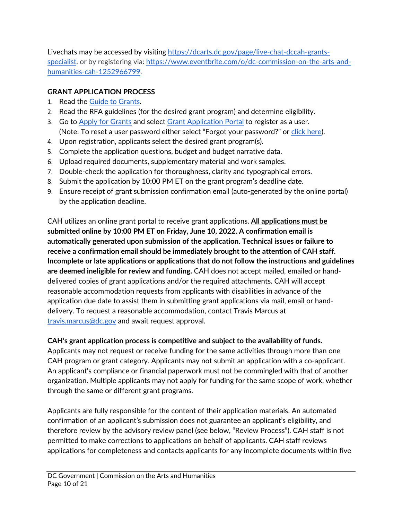Livechats may be accessed by visiting [https://dcarts.dc.gov/page/live-chat-dccah-grants](https://dcarts.dc.gov/page/live-chat-dccah-grants-specialist)[specialist](https://dcarts.dc.gov/page/live-chat-dccah-grants-specialist). or by registering via: [https://www.eventbrite.com/o/dc-commission-on-the-arts-and](https://www.eventbrite.com/o/dc-commission-on-the-arts-and-humanities-cah-1252966799)[humanities-cah-1252966799](https://www.eventbrite.com/o/dc-commission-on-the-arts-and-humanities-cah-1252966799).

## <span id="page-9-0"></span>**GRANT APPLICATION PROCESS**

- 1. Read the [Guide to Grants](https://dcarts.dc.gov/node/1579326).
- 2. Read the RFA guidelines (for the desired grant program) and determine eligibility.
- 3. Go to [Apply for Grants](http://dcarts.dc.gov/service/apply-grants) and select [Grant Application Portal](https://jlweb.co/prod1/portal/portal.jsp?c=4193775&p=6947885&g=6947905) to register as a user. (Note: To reset a user password either select "Forgot your password?" or [click here](https://jlweb.co/prod1/portal/forgotPassword.jsp?c=4193775&p=6947885&g=6948747&objDefId=6943961)).
- 4. Upon registration, applicants select the desired grant program(s).
- 5. Complete the application questions, budget and budget narrative data.
- 6. Upload required documents, supplementary material and work samples.
- 7. Double-check the application for thoroughness, clarity and typographical errors.
- 8. Submit the application by 10:00 PM ET on the grant program's deadline date.
- 9. Ensure receipt of grant submission confirmation email (auto-generated by the online portal) by the application deadline.

CAH utilizes an online grant portal to receive grant applications. **All applications must be submitted online by 10:00 PM ET on Friday, June 10, 2022. A confirmation email is automatically generated upon submission of the application. Technical issues or failure to receive a confirmation email should be immediately brought to the attention of CAH staff. Incomplete or late applications or applications that do not follow the instructions and guidelines are deemed ineligible for review and funding.** CAH does not accept mailed, emailed or handdelivered copies of grant applications and/or the required attachments. CAH will accept reasonable accommodation requests from applicants with disabilities in advance of the application due date to assist them in submitting grant applications via mail, email or handdelivery. To request a reasonable accommodation, contact Travis Marcus at [travis.marcus@dc.gov](mailto:travis.marcus@dc.gov) and await request approval.

#### **CAH's grant application process is competitive and subject to the availability of funds.**

Applicants may not request or receive funding for the same activities through more than one CAH program or grant category. Applicants may not submit an application with a co-applicant. An applicant's compliance or financial paperwork must not be commingled with that of another organization. Multiple applicants may not apply for funding for the same scope of work, whether through the same or different grant programs.

Applicants are fully responsible for the content of their application materials. An automated confirmation of an applicant's submission does not guarantee an applicant's eligibility, and therefore review by the advisory review panel (see below, "Review Process"). CAH staff is not permitted to make corrections to applications on behalf of applicants. CAH staff reviews applications for completeness and contacts applicants for any incomplete documents within five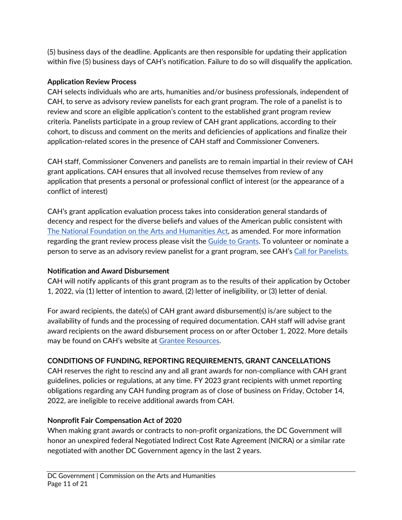(5) business days of the deadline. Applicants are then responsible for updating their application within five (5) business days of CAH's notification. Failure to do so will disqualify the application.

#### **Application Review Process**

CAH selects individuals who are arts, humanities and/or business professionals, independent of CAH, to serve as advisory review panelists for each grant program. The role of a panelist is to review and score an eligible application's content to the established grant program review criteria. Panelists participate in a group review of CAH grant applications, according to their cohort, to discuss and comment on the merits and deficiencies of applications and finalize their application-related scores in the presence of CAH staff and Commissioner Conveners.

CAH staff, Commissioner Conveners and panelists are to remain impartial in their review of CAH grant applications. CAH ensures that all involved recuse themselves from review of any application that presents a personal or professional conflict of interest (or the appearance of a conflict of interest)

CAH's grant application evaluation process takes into consideration general standards of decency and respect for the diverse beliefs and values of the American public consistent with [The National Foundation on the Arts and Humanities Act](https://www.arts.gov/sites/default/files/Legislation.pdf), as amended. For more information regarding the grant review process please visit the [Guide to Grants](https://dcarts.dc.gov/node/1579326). To volunteer or nominate a person to serve as an advisory review panelist for a grant program, see CAH's [Call for Panelists.](https://dcarts.dc.gov/page/fy19-call-grants-panelists)

#### **Notification and Award Disbursement**

CAH will notify applicants of this grant program as to the results of their application by October 1, 2022, via (1) letter of intention to award, (2) letter of ineligibility, or (3) letter of denial.

For award recipients, the date(s) of CAH grant award disbursement(s) is/are subject to the availability of funds and the processing of required documentation. CAH staff will advise grant award recipients on the award disbursement process on or after October 1, 2022. More details may be found on CAH's website at [Grantee Resources](http://dcarts.dc.gov/page/managing-grant-awards).

#### <span id="page-10-0"></span>**CONDITIONS OF FUNDING, REPORTING REQUIREMENTS, GRANT CANCELLATIONS**

CAH reserves the right to rescind any and all grant awards for non-compliance with CAH grant guidelines, policies or regulations, at any time. FY 2023 grant recipients with unmet reporting obligations regarding any CAH funding program as of close of business on Friday, October 14, 2022, are ineligible to receive additional awards from CAH.

#### **Nonprofit Fair Compensation Act of 2020**

When making grant awards or contracts to non-profit organizations, the DC Government will honor an unexpired federal Negotiated Indirect Cost Rate Agreement (NICRA) or a similar rate negotiated with another DC Government agency in the last 2 years.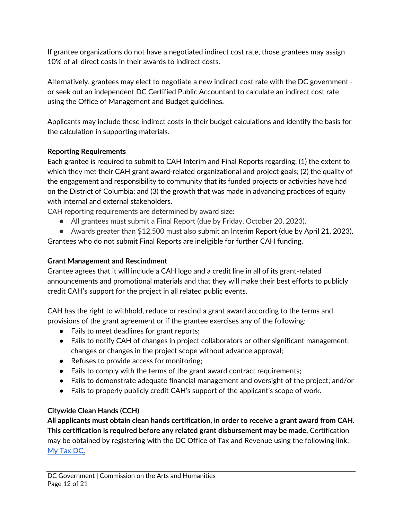If grantee organizations do not have a negotiated indirect cost rate, those grantees may assign 10% of all direct costs in their awards to indirect costs.

Alternatively, grantees may elect to negotiate a new indirect cost rate with the DC government or seek out an independent DC Certified Public Accountant to calculate an indirect cost rate using the Office of Management and Budget guidelines.

Applicants may include these indirect costs in their budget calculations and identify the basis for the calculation in supporting materials.

# **Reporting Requirements**

Each grantee is required to submit to CAH Interim and Final Reports regarding: (1) the extent to which they met their CAH grant award-related organizational and project goals; (2) the quality of the engagement and responsibility to community that its funded projects or activities have had on the District of Columbia; and (3) the growth that was made in advancing practices of equity with internal and external stakeholders.

CAH reporting requirements are determined by award size:

● All grantees must submit a Final Report (due by Friday, October 20, 2023).

● Awards greater than \$12,500 must also submit an Interim Report (due by April 21, 2023). Grantees who do not submit Final Reports are ineligible for further CAH funding.

## **Grant Management and Rescindment**

Grantee agrees that it will include a CAH logo and a credit line in all of its grant-related announcements and promotional materials and that they will make their best efforts to publicly credit CAH's support for the project in all related public events.

CAH has the right to withhold, reduce or rescind a grant award according to the terms and provisions of the grant agreement or if the grantee exercises any of the following:

- Fails to meet deadlines for grant reports;
- Fails to notify CAH of changes in project collaborators or other significant management; changes or changes in the project scope without advance approval;
- Refuses to provide access for monitoring;
- Fails to comply with the terms of the grant award contract requirements;
- Fails to demonstrate adequate financial management and oversight of the project; and/or
- Fails to properly publicly credit CAH's support of the applicant's scope of work.

# **Citywide Clean Hands (CCH)**

**All applicants must obtain clean hands certification, in order to receive a grant award from CAH. This certification is required before any related grant disbursement may be made.** Certification may be obtained by registering with the DC Office of Tax and Revenue using the following link: [My Tax DC](https://mytax.dc.gov/_/).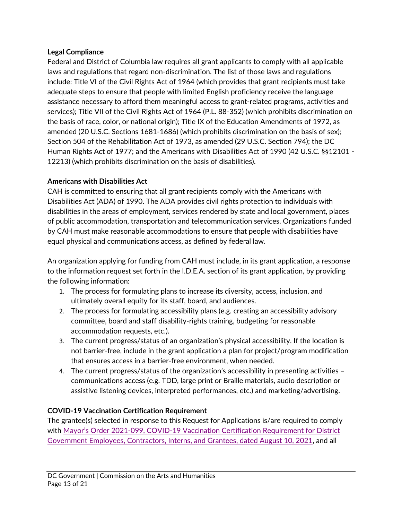#### **Legal Compliance**

Federal and District of Columbia law requires all grant applicants to comply with all applicable laws and regulations that regard non-discrimination. The list of those laws and regulations include: Title VI of the Civil Rights Act of 1964 (which provides that grant recipients must take adequate steps to ensure that people with limited English proficiency receive the language assistance necessary to afford them meaningful access to grant-related programs, activities and services); Title VII of the Civil Rights Act of 1964 (P.L. 88-352) (which prohibits discrimination on the basis of race, color, or national origin); Title IX of the Education Amendments of 1972, as amended (20 U.S.C. Sections 1681-1686) (which prohibits discrimination on the basis of sex); Section 504 of the Rehabilitation Act of 1973, as amended (29 U.S.C. Section 794); the DC Human Rights Act of 1977; and the Americans with Disabilities Act of 1990 (42 U.S.C. §§12101 - 12213) (which prohibits discrimination on the basis of disabilities).

#### **Americans with Disabilities Act**

CAH is committed to ensuring that all grant recipients comply with the Americans with Disabilities Act (ADA) of 1990. The ADA provides civil rights protection to individuals with disabilities in the areas of employment, services rendered by state and local government, places of public accommodation, transportation and telecommunication services. Organizations funded by CAH must make reasonable accommodations to ensure that people with disabilities have equal physical and communications access, as defined by federal law.

An organization applying for funding from CAH must include, in its grant application, a response to the information request set forth in the I.D.E.A. section of its grant application, by providing the following information:

- 1. The process for formulating plans to increase its diversity, access, inclusion, and ultimately overall equity for its staff, board, and audiences.
- 2. The process for formulating accessibility plans (e.g. creating an accessibility advisory committee, board and staff disability-rights training, budgeting for reasonable accommodation requests, etc.).
- 3. The current progress/status of an organization's physical accessibility. If the location is not barrier-free, include in the grant application a plan for project/program modification that ensures access in a barrier-free environment, when needed.
- 4. The current progress/status of the organization's accessibility in presenting activities communications access (e.g. TDD, large print or Braille materials, audio description or assistive listening devices, interpreted performances, etc.) and marketing/advertising.

# **COVID-19 Vaccination Certification Requirement**

The grantee(s) selected in response to this Request for Applications is/are required to comply with Mayor's Order [2021-099, COVID-19 Vaccination Certification Requirement for District](https://coronavirus.dc.gov/sites/default/files/dc/sites/coronavirus/page_content/attachments/2021-147 Declaration of Public Emergency%3B Indoor Mask Requirements%3B Vaccination Requirements for DC Government Employees%3B etc.pdf) [Government Employees, Contractors, Interns, and Grantees, dated August 10, 2021](https://coronavirus.dc.gov/sites/default/files/dc/sites/coronavirus/page_content/attachments/2021-147 Declaration of Public Emergency%3B Indoor Mask Requirements%3B Vaccination Requirements for DC Government Employees%3B etc.pdf), and all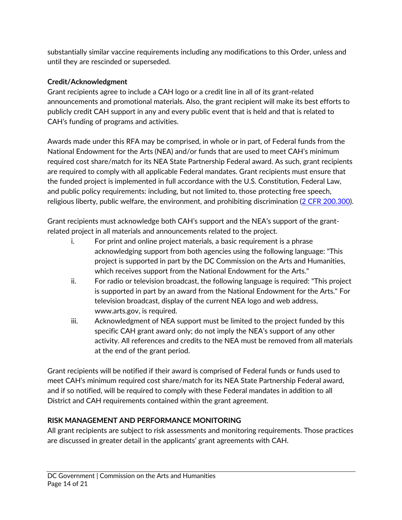substantially similar vaccine requirements including any modifications to this Order, unless and until they are rescinded or superseded.

# **Credit/Acknowledgment**

Grant recipients agree to include a CAH logo or a credit line in all of its grant-related announcements and promotional materials. Also, the grant recipient will make its best efforts to publicly credit CAH support in any and every public event that is held and that is related to CAH's funding of programs and activities.

Awards made under this RFA may be comprised, in whole or in part, of Federal funds from the National Endowment for the Arts (NEA) and/or funds that are used to meet CAH's minimum required cost share/match for its NEA State Partnership Federal award. As such, grant recipients are required to comply with all applicable Federal mandates. Grant recipients must ensure that the funded project is implemented in full accordance with the U.S. Constitution, Federal Law, and public policy requirements: including, but not limited to, those protecting free speech, religious liberty, public welfare, the environment, and prohibiting discrimination [\(2 CFR 200.300](https://www.ecfr.gov/current/title-2/subtitle-A/chapter-II/part-200/subpart-D/section-200.300)).

Grant recipients must acknowledge both CAH's support and the NEA's support of the grantrelated project in all materials and announcements related to the project.

- i. For print and online project materials, a basic requirement is a phrase acknowledging support from both agencies using the following language: "This project is supported in part by the DC Commission on the Arts and Humanities, which receives support from the National Endowment for the Arts."
- ii. For radio or television broadcast, the following language is required: "This project is supported in part by an award from the National Endowment for the Arts." For television broadcast, display of the current NEA logo and web address, www.arts.gov, is required.
- iii. Acknowledgment of NEA support must be limited to the project funded by this specific CAH grant award only; do not imply the NEA's support of any other activity. All references and credits to the NEA must be removed from all materials at the end of the grant period.

Grant recipients will be notified if their award is comprised of Federal funds or funds used to meet CAH's minimum required cost share/match for its NEA State Partnership Federal award, and if so notified, will be required to comply with these Federal mandates in addition to all District and CAH requirements contained within the grant agreement.

# <span id="page-13-0"></span>**RISK MANAGEMENT AND PERFORMANCE MONITORING**

All grant recipients are subject to risk assessments and monitoring requirements. Those practices are discussed in greater detail in the applicants' grant agreements with CAH.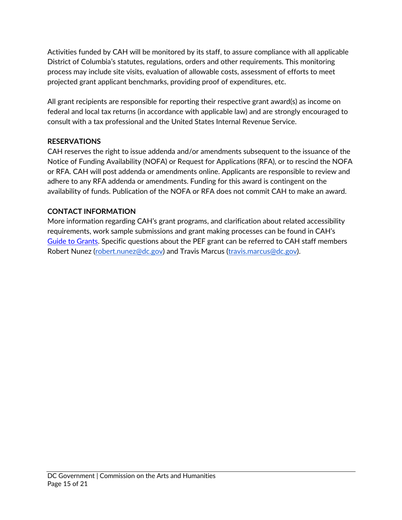Activities funded by CAH will be monitored by its staff, to assure compliance with all applicable District of Columbia's statutes, regulations, orders and other requirements. This monitoring process may include site visits, evaluation of allowable costs, assessment of efforts to meet projected grant applicant benchmarks, providing proof of expenditures, etc.

All grant recipients are responsible for reporting their respective grant award(s) as income on federal and local tax returns (in accordance with applicable law) and are strongly encouraged to consult with a tax professional and the United States Internal Revenue Service.

#### **RESERVATIONS**

CAH reserves the right to issue addenda and/or amendments subsequent to the issuance of the Notice of Funding Availability (NOFA) or Request for Applications (RFA), or to rescind the NOFA or RFA. CAH will post addenda or amendments online. Applicants are responsible to review and adhere to any RFA addenda or amendments. Funding for this award is contingent on the availability of funds. Publication of the NOFA or RFA does not commit CAH to make an award.

#### <span id="page-14-0"></span>**CONTACT INFORMATION**

More information regarding CAH's grant programs, and clarification about related accessibility requirements, work sample submissions and grant making processes can be found in CAH's [Guide to Grants](https://dcarts.dc.gov/node/1579326). Specific questions about the PEF grant can be referred to CAH staff members Robert Nunez [\(robert.nunez@dc.gov](mailto:robert.nunez@dc.gov)) and Travis Marcus [\(travis.marcus@dc.gov](mailto:travis.marcus@dc.gov)).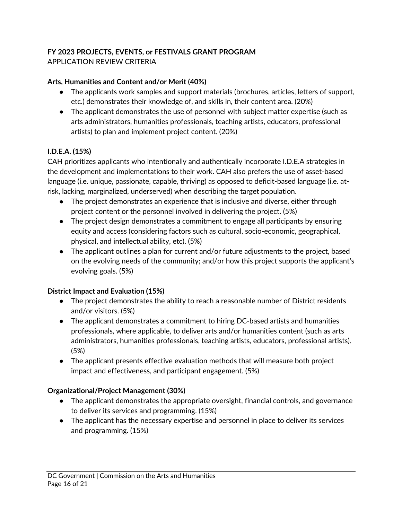### **FY 2023 PROJECTS, EVENTS, or FESTIVALS GRANT PROGRAM** APPLICATION REVIEW CRITERIA

#### **Arts, Humanities and Content and/or Merit (40%)**

- <span id="page-15-0"></span>● The applicants work samples and support materials (brochures, articles, letters of support, etc.) demonstrates their knowledge of, and skills in, their content area. (20%)
- The applicant demonstrates the use of personnel with subject matter expertise (such as arts administrators, humanities professionals, teaching artists, educators, professional artists) to plan and implement project content. (20%)

## **I.D.E.A. (15%)**

CAH prioritizes applicants who intentionally and authentically incorporate I.D.E.A strategies in the development and implementations to their work. CAH also prefers the use of asset-based language (i.e. unique, passionate, capable, thriving) as opposed to deficit-based language (i.e. atrisk, lacking, marginalized, underserved) when describing the target population.

- The project demonstrates an experience that is inclusive and diverse, either through project content or the personnel involved in delivering the project. (5%)
- The project design demonstrates a commitment to engage all participants by ensuring equity and access (considering factors such as cultural, socio-economic, geographical, physical, and intellectual ability, etc). (5%)
- The applicant outlines a plan for current and/or future adjustments to the project, based on the evolving needs of the community; and/or how this project supports the applicant's evolving goals. (5%)

#### **District Impact and Evaluation (15%)**

- The project demonstrates the ability to reach a reasonable number of District residents and/or visitors. (5%)
- The applicant demonstrates a commitment to hiring DC-based artists and humanities professionals, where applicable, to deliver arts and/or humanities content (such as arts administrators, humanities professionals, teaching artists, educators, professional artists). (5%)
- The applicant presents effective evaluation methods that will measure both project impact and effectiveness, and participant engagement. (5%)

#### **Organizational/Project Management (30%)**

- The applicant demonstrates the appropriate oversight, financial controls, and governance to deliver its services and programming. (15%)
- The applicant has the necessary expertise and personnel in place to deliver its services and programming. (15%)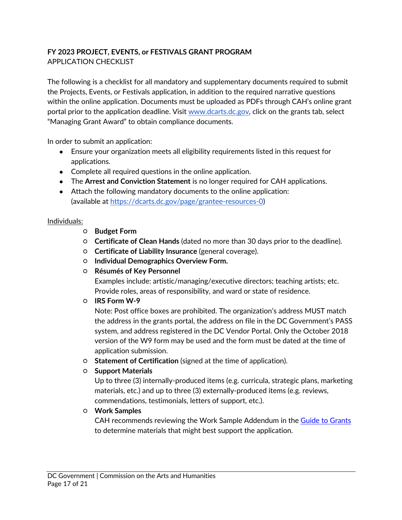## <span id="page-16-0"></span>**FY 2023 PROJECT, EVENTS, or FESTIVALS GRANT PROGRAM** APPLICATION CHECKLIST

The following is a checklist for all mandatory and supplementary documents required to submit the Projects, Events, or Festivals application, in addition to the required narrative questions within the online application. Documents must be uploaded as PDFs through CAH's online grant portal prior to the application deadline. Visit [www.dcarts.dc.gov](http://www.dcarts.dc.gov/), click on the grants tab, select "Managing Grant Award" to obtain compliance documents.

In order to submit an application:

- Ensure your organization meets all eligibility requirements listed in this request for applications.
- Complete all required questions in the online application.
- The **Arrest and Conviction Statement** is no longer required for CAH applications.
- Attach the following mandatory documents to the online application: (available at<https://dcarts.dc.gov/page/grantee-resources-0>)

#### Individuals:

- **Budget Form**
- **Certificate of Clean Hands** (dated no more than 30 days prior to the deadline).
- **Certificate of Liability Insurance** (general coverage).
- **Individual Demographics Overview Form.**
- **Résumés of Key Personnel**

Examples include: artistic/managing/executive directors; teaching artists; etc. Provide roles, areas of responsibility, and ward or state of residence.

○ **IRS Form W-9**

Note: Post office boxes are prohibited. The organization's address MUST match the address in the grants portal, the address on file in the DC Government's PASS system, and address registered in the DC Vendor Portal. Only the October 2018 version of the W9 form may be used and the form must be dated at the time of application submission.

- **Statement of Certification** (signed at the time of application).
- **Support Materials**

Up to three (3) internally-produced items (e.g. curricula, strategic plans, marketing materials, etc.) and up to three (3) externally-produced items (e.g. reviews, commendations, testimonials, letters of support, etc.).

○ **Work Samples**

CAH recommends reviewing the Work Sample Addendum in the <u>Guide to Grants</u> to determine materials that might best support the application.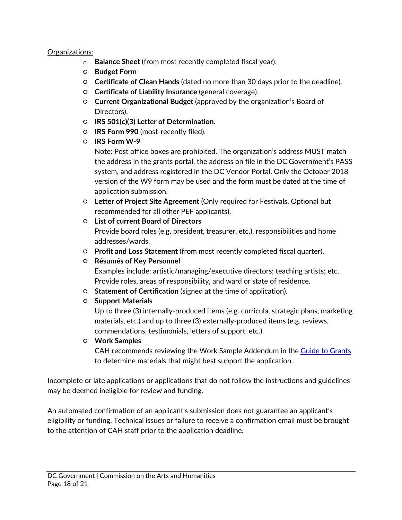#### Organizations:

- o **Balance Sheet** (from most recently completed fiscal year).
- **Budget Form**
- **Certificate of Clean Hands** (dated no more than 30 days prior to the deadline).
- **Certificate of Liability Insurance** (general coverage).
- **Current Organizational Budget** (approved by the organization's Board of Directors).
- **IRS 501(c)(3) Letter of Determination.**
- **IRS Form 990** (most-recently filed).
- **IRS Form W-9**

Note: Post office boxes are prohibited. The organization's address MUST match the address in the grants portal, the address on file in the DC Government's PASS system, and address registered in the DC Vendor Portal. Only the October 2018 version of the W9 form may be used and the form must be dated at the time of application submission.

- **Letter of Project Site Agreement** (Only required for Festivals. Optional but recommended for all other PEF applicants).
- **List of current Board of Directors**

Provide board roles (e.g. president, treasurer, etc.), responsibilities and home addresses/wards.

- **Profit and Loss Statement** (from most recently completed fiscal quarter).
- **Résumés of Key Personnel**

Examples include: artistic/managing/executive directors; teaching artists; etc. Provide roles, areas of responsibility, and ward or state of residence.

- **Statement of Certification** (signed at the time of application).
- **Support Materials**

Up to three (3) internally-produced items (e.g. curricula, strategic plans, marketing materials, etc.) and up to three (3) externally-produced items (e.g. reviews, commendations, testimonials, letters of support, etc.).

#### ○ **Work Samples**

CAH recommends reviewing the Work Sample Addendum in the [Guide to Grants](https://dcarts.dc.gov/node/1579326) to determine materials that might best support the application.

Incomplete or late applications or applications that do not follow the instructions and guidelines may be deemed ineligible for review and funding.

An automated confirmation of an applicant's submission does not guarantee an applicant's eligibility or funding. Technical issues or failure to receive a confirmation email must be brought to the attention of CAH staff prior to the application deadline.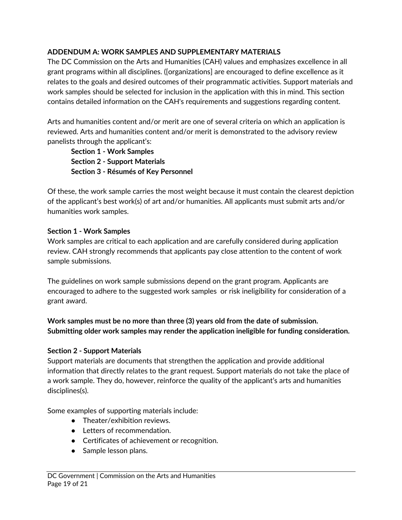### **ADDENDUM A: WORK SAMPLES AND SUPPLEMENTARY MATERIALS**

The DC Commission on the Arts and Humanities (CAH) values and emphasizes excellence in all grant programs within all disciplines. ([organizations] are encouraged to define excellence as it relates to the goals and desired outcomes of their programmatic activities. Support materials and work samples should be selected for inclusion in the application with this in mind. This section contains detailed information on the CAH's requirements and suggestions regarding content.

Arts and humanities content and/or merit are one of several criteria on which an application is reviewed. Arts and humanities content and/or merit is demonstrated to the advisory review panelists through the applicant's:

<span id="page-18-0"></span>**Section 1 - Work Samples Section 2 - Support Materials Section 3 - Résumés of Key Personnel**

Of these, the work sample carries the most weight because it must contain the clearest depiction of the applicant's best work(s) of art and/or humanities. All applicants must submit arts and/or humanities work samples.

#### **Section 1 - Work Samples**

Work samples are critical to each application and are carefully considered during application review. CAH strongly recommends that applicants pay close attention to the content of work sample submissions.

The guidelines on work sample submissions depend on the grant program. Applicants are encouraged to adhere to the suggested work samples or risk ineligibility for consideration of a grant award.

#### **Work samples must be no more than three (3) years old from the date of submission. Submitting older work samples may render the application ineligible for funding consideration.**

#### **Section 2 - Support Materials**

Support materials are documents that strengthen the application and provide additional information that directly relates to the grant request. Support materials do not take the place of a work sample. They do, however, reinforce the quality of the applicant's arts and humanities disciplines(s).

Some examples of supporting materials include:

- Theater/exhibition reviews.
- Letters of recommendation.
- Certificates of achievement or recognition.
- Sample lesson plans.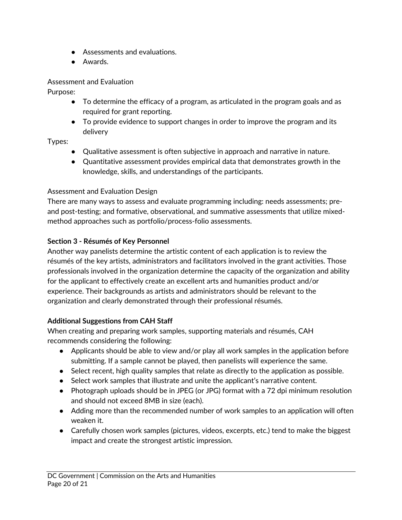- Assessments and evaluations.
- Awards.

#### Assessment and Evaluation

Purpose:

- To determine the efficacy of a program, as articulated in the program goals and as required for grant reporting.
- To provide evidence to support changes in order to improve the program and its delivery

## Types:

- Qualitative assessment is often subjective in approach and narrative in nature.
- Quantitative assessment provides empirical data that demonstrates growth in the knowledge, skills, and understandings of the participants.

# Assessment and Evaluation Design

There are many ways to assess and evaluate programming including: needs assessments; preand post-testing; and formative, observational, and summative assessments that utilize mixedmethod approaches such as portfolio/process-folio assessments.

# **Section 3 - Résumés of Key Personnel**

Another way panelists determine the artistic content of each application is to review the résumés of the key artists, administrators and facilitators involved in the grant activities. Those professionals involved in the organization determine the capacity of the organization and ability for the applicant to effectively create an excellent arts and humanities product and/or experience. Their backgrounds as artists and administrators should be relevant to the organization and clearly demonstrated through their professional résumés.

# **Additional Suggestions from CAH Staff**

When creating and preparing work samples, supporting materials and résumés, CAH recommends considering the following:

- Applicants should be able to view and/or play all work samples in the application before submitting. If a sample cannot be played, then panelists will experience the same.
- Select recent, high quality samples that relate as directly to the application as possible.
- Select work samples that illustrate and unite the applicant's narrative content.
- Photograph uploads should be in JPEG (or JPG) format with a 72 dpi minimum resolution and should not exceed 8MB in size (each).
- Adding more than the recommended number of work samples to an application will often weaken it.
- Carefully chosen work samples (pictures, videos, excerpts, etc.) tend to make the biggest impact and create the strongest artistic impression.